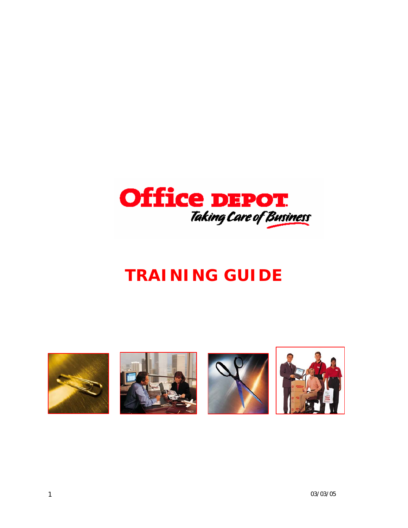

# *TRAINING GUIDE*

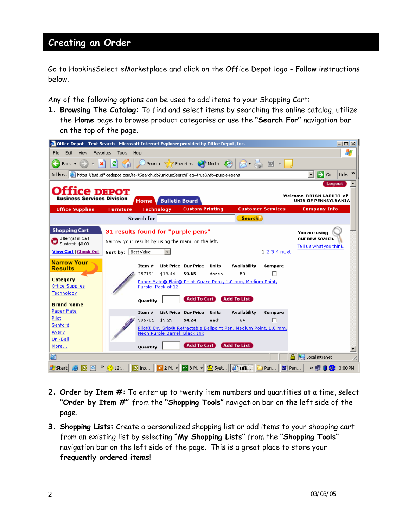Go to HopkinsSelect eMarketplace and click on the Office Depot logo - Follow instructions below.

Any of the following options can be used to add items to your Shopping Cart:

**1. Browsing The Catalog:** To find and select items by searching the online catalog, utilize the **Home** page to browse product categories or use the **"Search For"** navigation bar on the top of the page.

|                                                                                                          | <b>C</b> Office Depot - Text Search - Microsoft Internet Explorer provided by Office Depot, Inc.                                                                                                            | $ \Box$ $\times$                                            |
|----------------------------------------------------------------------------------------------------------|-------------------------------------------------------------------------------------------------------------------------------------------------------------------------------------------------------------|-------------------------------------------------------------|
| Edit<br>Favorites<br>File<br>View                                                                        | Tools<br>Help                                                                                                                                                                                               | Æ                                                           |
| Back $\star$                                                                                             | Search > Favorites (A) Media (A)<br>이<br>$\mathbb{R}$ . $\mathbb{R}$ , $\mathbb{R}$ ,                                                                                                                       |                                                             |
|                                                                                                          | Address (@) https://bsd.officedepot.com/textSearch.do?uniqueSearchFlag=true&ntt=purple+pens                                                                                                                 | $\Rightarrow$ Go<br>Links $"$<br>$\overline{\phantom{a}}$   |
| Business Services Division                                                                               | Ce DEPOT<br><b>Home Bulletin Board</b>                                                                                                                                                                      | Logout<br>Welcome BRIAN CAPUTO of<br>UNIV OF PENNSYLVANIA   |
| <b>Office Supplies</b>                                                                                   | <b>Customer Services</b><br><b>Furniture</b><br><b>Custom Printing</b><br><b>Technology</b>                                                                                                                 | <b>Company Info</b>                                         |
|                                                                                                          | <b>Search for</b><br><b>Search</b>                                                                                                                                                                          |                                                             |
| <b>Shopping Cart</b><br><sup>0</sup> Item(s) in Cart<br>Subtotal: \$0.00<br><b>View Cart   Check Out</b> | 31 results found for "purple pens"<br>Narrow your results by using the menu on the left.<br>Sort by: Best Value<br>1 2 3 4 next                                                                             | You are using<br>our new search.<br>Tell us what you think. |
| <b>Narrow Your</b><br><b>Results</b><br>Category<br><b>Office Supplies</b><br>Technology                 | Availability<br>List Price Our Price<br>Units<br>Item $#$<br>Compare<br>п<br>\$19.44<br>\$9.65<br>257191<br>dozen<br>50<br>Paper Mate® Flair® Point-Guard Pens, 1.0 mm, Medium Point,<br>Purple, Pack of 12 |                                                             |
| <b>Brand Name</b><br>Paper Mate                                                                          | <b>Add To Cart</b><br><b>Add To List</b><br><b>Quantity</b><br>List Price Our Price<br><b>Availability</b><br>Item $#$<br>Units<br>Compare                                                                  |                                                             |
| Pilot<br>Sanford<br>Avery<br>Uni-Ball                                                                    | п<br>396701 \$9.29<br>\$4.24<br>64<br>each<br>Pilot® Dr. Grip® Retractable Ballpoint Pen, Medium Point, 1.0 mm,<br>Neon Purple Barrel, Black Ink                                                            |                                                             |
| More<br>đ                                                                                                | <b>Add To Cart</b><br><b>Add To List</b><br>Quantity<br>a.                                                                                                                                                  | Local intranet                                              |
| <b>d'i</b> Start                                                                                         | ③ 12:…   <mark>ⓒ</mark> Inb…   <mark>回</mark> 2 M -   ⊠ 3 M -   <u>©</u> Syst…   @ offi<br>网) Pen<br>Pun                                                                                                    | 3:00 PM                                                     |

- **2. Order by Item #:** To enter up to twenty item numbers and quantities at a time, select **"Order by Item #"** from the **"Shopping Tools"** navigation bar on the left side of the page.
- **3. Shopping Lists:** Create a personalized shopping list or add items to your shopping cart from an existing list by selecting **"My Shopping Lists"** from the **"Shopping Tools"** navigation bar on the left side of the page. This is a great place to store your **frequently ordered items**!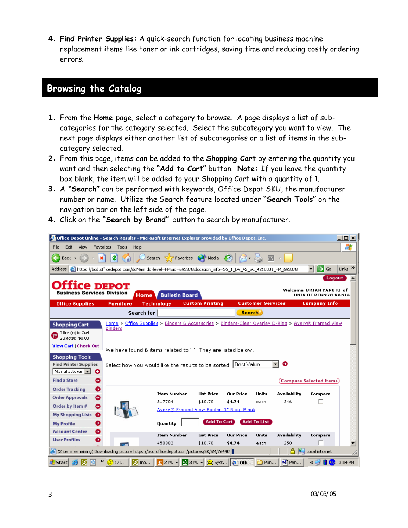**4. Find Printer Supplies:** A quick-search function for locating business machine replacement items like toner or ink cartridges, saving time and reducing costly ordering errors.

#### **Browsing the Catalog**

- **1.** From the **Home** page, select a category to browse. A page displays a list of subcategories for the category selected. Select the subcategory you want to view. The next page displays either another list of subcategories or a list of items in the subcategory selected.
- **2.** From this page, items can be added to the **Shopping Cart** by entering the quantity you want and then selecting the **"Add to Cart"** button. **Note:** If you leave the quantity box blank, the item will be added to your Shopping Cart with a quantity of 1.
- **3.** A **"Search"** can be performed with keywords, Office Depot SKU, the manufacturer number or name. Utilize the Search feature located under **"Search Tools"** on the navigation bar on the left side of the page.
- **4.** Click on the "**Search by Brand"** button to search by manufacturer.

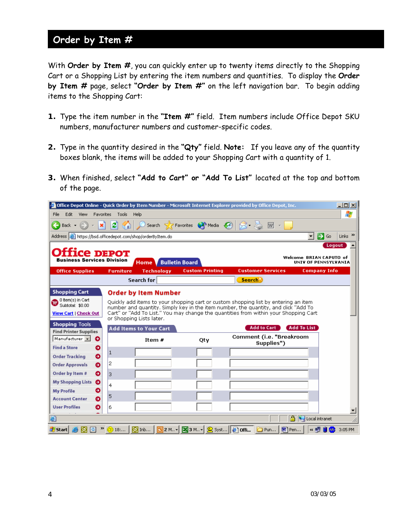## **Order by Item #**

With **Order by Item #**, you can quickly enter up to twenty items directly to the Shopping Cart or a Shopping List by entering the item numbers and quantities. To display the **Order by Item #** page, select **"Order by Item #"** on the left navigation bar. To begin adding items to the Shopping Cart:

- **1.** Type the item number in the **"Item #"** field. Item numbers include Office Depot SKU numbers, manufacturer numbers and customer-specific codes.
- **2.** Type in the quantity desired in the **"Qty"** field. **Note:** If you leave any of the quantity boxes blank, the items will be added to your Shopping Cart with a quantity of 1.
- **3.** When finished, select **"Add to Cart" or "Add To List"** located at the top and bottom of the page.

|                                                                                                                                |                  |                                                           |                                                       | Office Depot Online - Quick Order by Item Number - Microsoft Internet Explorer provided by Office Depot, Inc.                                                                                                                                                                            |                         | $\Box$ $\Box$ $\times$          |
|--------------------------------------------------------------------------------------------------------------------------------|------------------|-----------------------------------------------------------|-------------------------------------------------------|------------------------------------------------------------------------------------------------------------------------------------------------------------------------------------------------------------------------------------------------------------------------------------------|-------------------------|---------------------------------|
| Edit.<br>View<br>Favorites<br>File                                                                                             | Tools            | Help                                                      |                                                       |                                                                                                                                                                                                                                                                                          |                         | ł                               |
| Back $\star$                                                                                                                   | еI<br>G          |                                                           | Search $\sum$ Favorites $\bigoplus$ Media $\bigoplus$ | $\mathbb{R}$ .                                                                                                                                                                                                                                                                           |                         |                                 |
| Address <b>&amp;</b> https://bsd.officedepot.com/shop/orderByItem.do                                                           |                  |                                                           |                                                       |                                                                                                                                                                                                                                                                                          | ∣→<br>▾╎                | Links <sup>&gt;&gt;</sup><br>Go |
| <b>ICE DEPOT</b><br><b>Business Services Division</b>                                                                          |                  | Home V Bulletin Board                                     |                                                       |                                                                                                                                                                                                                                                                                          | Welcome BRIAN CAPUTO of | Logout<br>UNIV OF PENNSYLVANIA  |
| <b>Office Supplies</b>                                                                                                         | <b>Furniture</b> | <b>Technology</b>                                         | <b>Custom Printing</b>                                | <b>Customer Services</b>                                                                                                                                                                                                                                                                 | <b>Company Info</b>     |                                 |
|                                                                                                                                |                  | Search for                                                |                                                       | Search <sup>3</sup>                                                                                                                                                                                                                                                                      |                         |                                 |
| O Item(s) in Cart<br>Subtotal: \$0.00<br><b>View Cart   Check Out</b><br><b>Shopping Tools</b><br><b>Find Printer Supplies</b> |                  | or Shopping Lists later.<br><b>Add Items to Your Cart</b> |                                                       | Ouickly add items to your shopping cart or custom shopping list by entering an item<br>number and quantity. Simply key in the item number, the quantity, and click "Add To<br>Cart" or "Add To List," You may change the quantities from within your Shopping Cart<br><b>Add to Cart</b> | <b>Add To List</b>      |                                 |
| Manufacturer v<br>Θ                                                                                                            |                  | Item $#$                                                  | Qty                                                   | Comment (i.e. "Breakroom<br>Supplies")                                                                                                                                                                                                                                                   |                         |                                 |
| <b>Find a Store</b><br>ο                                                                                                       | $\mathbf{1}$     |                                                           |                                                       |                                                                                                                                                                                                                                                                                          |                         |                                 |
| ◐<br><b>Order Tracking</b><br><b>Order Approvals</b><br>๑                                                                      | 2                |                                                           |                                                       |                                                                                                                                                                                                                                                                                          |                         |                                 |
| Order by Item #<br>٥                                                                                                           | 3                |                                                           |                                                       |                                                                                                                                                                                                                                                                                          |                         |                                 |
| <b>My Shopping Lists</b><br>۰                                                                                                  | 4                |                                                           |                                                       |                                                                                                                                                                                                                                                                                          |                         |                                 |
| ο<br><b>My Profile</b>                                                                                                         | 5                |                                                           |                                                       |                                                                                                                                                                                                                                                                                          |                         |                                 |
| <b>Account Center</b><br>ο                                                                                                     |                  |                                                           |                                                       |                                                                                                                                                                                                                                                                                          |                         |                                 |
| <b>User Profiles</b><br>٥                                                                                                      | 6                |                                                           |                                                       |                                                                                                                                                                                                                                                                                          |                         |                                 |
| 固                                                                                                                              |                  |                                                           |                                                       |                                                                                                                                                                                                                                                                                          | a.<br>Local intranet    |                                 |
| <b>d'I</b> Start                                                                                                               |                  |                                                           |                                                       | □ Pun 图 Pen                                                                                                                                                                                                                                                                              | ka ⊞r                   | 3:05 PM                         |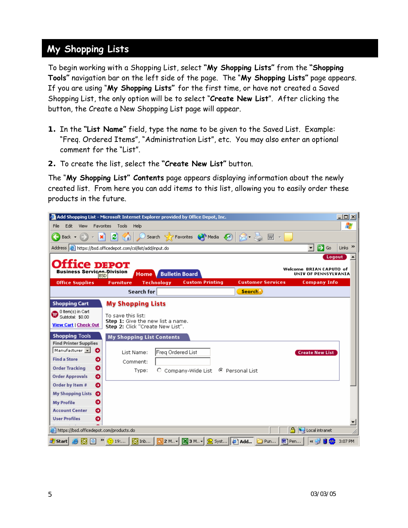## **My Shopping Lists**

To begin working with a Shopping List, select **"My Shopping Lists"** from the **"Shopping Tools"** navigation bar on the left side of the page. The "**My Shopping Lists"** page appears. If you are using "**My Shopping Lists"** for the first time, or have not created a Saved Shopping List, the only option will be to select "**Create New List**". After clicking the button, the Create a New Shopping List page will appear.

- **1.** In the **"List Name"** field, type the name to be given to the Saved List. Example: "Freq. Ordered Items", "Administration List", etc. You may also enter an optional comment for the "List".
- **2.** To create the list, select the **"Create New List"** button.

The "**My Shopping List" Contents** page appears displaying information about the newly created list. From here you can add items to this list, allowing you to easily order these products in the future.

| Add Shopping List - Microsoft Internet Explorer provided by Office Depot, Inc. |                                                         |                              |                                                                                          |                          |       |                         | $\Box$ olx                |
|--------------------------------------------------------------------------------|---------------------------------------------------------|------------------------------|------------------------------------------------------------------------------------------|--------------------------|-------|-------------------------|---------------------------|
| File<br>Edit<br>View<br>Favorites                                              | Tools<br>Help                                           |                              |                                                                                          |                          |       |                         | 4                         |
| Back $\star$                                                                   | ø                                                       |                              | Search > Favorites (A) Media (A)                                                         |                          | 匢     |                         |                           |
| Address <b>@</b> https://bsd.officedepot.com/csl/list/add/input.do             |                                                         |                              |                                                                                          |                          |       | ∣→<br>▾╎<br>Go          | Links <sup>&gt;&gt;</sup> |
|                                                                                |                                                         |                              |                                                                                          |                          |       | Logout                  |                           |
|                                                                                | Ce DEPOT                                                |                              |                                                                                          |                          |       | Welcome BRIAN CAPUTO of |                           |
| <b>Business Services Division</b><br><b>BSD</b>                                |                                                         | <b>Home V Bulletin Board</b> |                                                                                          |                          |       | UNIV OF PENNSYLVANIA    |                           |
| <b>Office Supplies</b>                                                         | <b>Furniture</b>                                        | <b>Technology</b>            | <b>Custom Printing</b>                                                                   | <b>Customer Services</b> |       | <b>Company Info</b>     |                           |
|                                                                                | Search for                                              |                              |                                                                                          | Search                   |       |                         |                           |
| <b>Shopping Cart</b>                                                           | <b>My Shopping Lists</b>                                |                              |                                                                                          |                          |       |                         |                           |
| <sup>0</sup> Item(s) in Cart<br>Subtotal: \$0.00                               | To save this list:<br>Step 1: Give the new list a name. |                              |                                                                                          |                          |       |                         |                           |
| <b>View Cart   Check Out</b>                                                   | Step 2: Click "Create New List".                        |                              |                                                                                          |                          |       |                         |                           |
| <b>Shopping Tools</b><br><b>Find Printer Supplies</b>                          | <b>My Shopping List Contents</b>                        |                              |                                                                                          |                          |       |                         |                           |
| Manufacturer v<br>Ð                                                            | List Name:                                              | Freg Ordered List            |                                                                                          |                          |       | <b>Create New List</b>  |                           |
| <b>Find a Store</b><br>ο                                                       | Comment:                                                |                              |                                                                                          |                          |       |                         |                           |
| <b>Order Tracking</b><br>€                                                     | Type:                                                   |                              | C Company-Wide List                                                                      | $\odot$ Personal List    |       |                         |                           |
| <b>Order Approvals</b><br>๑                                                    |                                                         |                              |                                                                                          |                          |       |                         |                           |
| Order by Item #<br>Θ                                                           |                                                         |                              |                                                                                          |                          |       |                         |                           |
| <b>My Shopping Lists</b><br>€                                                  |                                                         |                              |                                                                                          |                          |       |                         |                           |
| ο<br><b>My Profile</b>                                                         |                                                         |                              |                                                                                          |                          |       |                         |                           |
| <b>Account Center</b><br>ο                                                     |                                                         |                              |                                                                                          |                          |       |                         |                           |
| <b>User Profiles</b><br>0                                                      |                                                         |                              |                                                                                          |                          |       |                         |                           |
| e https://bsd.officedepot.com/products.do                                      |                                                         |                              |                                                                                          |                          | А     | Local intranet          |                           |
| d   Start  <br>a                                                               | $\Theta$ Inb<br>$(2)$ 19:                               |                              | $\boxed{C}$ 2 M., $\bullet$ $\boxed{X}$ 3 M., $\bullet$ $\boxed{C}$ Syst $\boxed{C}$ Add | Pun                      | 國 Pen | ⋖⋓                      | 3:07 PM                   |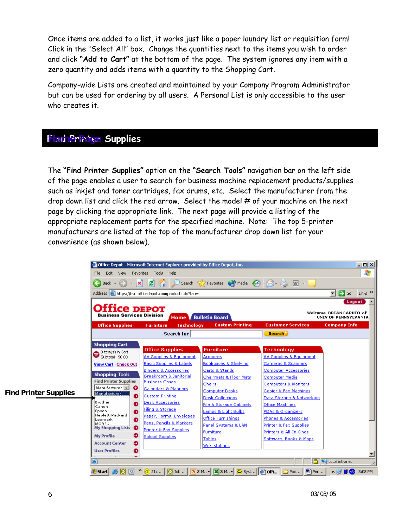Once items are added to a list, it works just like a paper laundry list or requisition form! Click in the "Select All" box. Change the quantities next to the items you wish to order and click **"Add to Cart"** at the bottom of the page. The system ignores any item with a zero quantity and adds items with a quantity to the Shopping Cart.

Company-wide Lists are created and maintained by your Company Program Administrator but can be used for ordering by all users. A Personal List is only accessible to the user who creates it.

### **Find Printer Su Home Page pplies**

The **"Find Printer Supplies"** option on the **"Search Tools"** navigation bar on the left side of the page enables a user to search for business machine replacement products/supplies such as inkjet and toner cartridges, fax drums, etc. Select the manufacturer from the drop down list and click the red arrow. Select the model # of your machine on the next page by clicking the appropriate link. The next page will provide a listing of the appropriate replacement parts for the specified machine. Note: The top 5-printer manufacturers are listed at the top of the manufacturer drop down list for your convenience (as shown below).

|                              |                                                          | Office Depot - Microsoft Internet Explorer provided by Office Depot, Inc. |                                                               |                                                          | <u>- 미지</u>                                                    |
|------------------------------|----------------------------------------------------------|---------------------------------------------------------------------------|---------------------------------------------------------------|----------------------------------------------------------|----------------------------------------------------------------|
|                              | Edit<br>View Favorites<br>File                           | Tools<br>Help                                                             |                                                               |                                                          | Æ                                                              |
|                              | Back +                                                   | $ 2 $ (a)                                                                 | Search <b>A</b> Favorites <b>CA</b> Media <b>(2)</b>          | 3 & pt 1                                                 |                                                                |
|                              |                                                          | Address <b>6</b> https://bsd.officedepot.com/products.do?tab=             |                                                               |                                                          | $\Rightarrow$ Go<br>Links $\rightarrow$<br>$\vert \cdot \vert$ |
|                              |                                                          |                                                                           |                                                               |                                                          | Logout                                                         |
|                              | <b>Office depot</b><br><b>Business Services Division</b> |                                                                           | <b>Home V Bulletin Board</b>                                  |                                                          | Welcome BRIAN CAPUTO of<br>UNIV OF PENNSYLVANIA                |
|                              | <b>Office Supplies</b>                                   | <b>Technology</b><br><b>Furniture</b>                                     | <b>Custom Printing</b>                                        | <b>Customer Services</b>                                 | <b>Company Info</b>                                            |
|                              |                                                          | Search for                                                                |                                                               | <b>Search</b>                                            |                                                                |
|                              | <b>Shopping Cart</b>                                     | <b>Office Supplies</b>                                                    | <b>Furniture</b>                                              | <b>Technology</b>                                        |                                                                |
|                              | <sup>0</sup> Item(s) in Cart<br>Subtotal: \$0.00         | AV Supplies & Equipment                                                   | Armoires                                                      | AV Supplies & Equipment                                  |                                                                |
|                              | <b>View Cart   Check Out</b>                             | <b>Basic Supplies &amp; Labels</b>                                        | Bookcases & Shelving                                          | Cameras & Scanners                                       |                                                                |
|                              | <b>Shopping Tools</b>                                    | <b>Binders &amp; Accessories</b>                                          | Carts & Stands                                                | Computer Accessories                                     |                                                                |
|                              | <b>Find Printer Supplies</b>                             | Breakroom & Janitorial<br><b>Business Cases</b>                           | Chairmats & Floor Mats                                        | Computer Media                                           |                                                                |
| <b>Find Printer Supplies</b> | Manufacturer v<br>∙<br>Manufacturer<br>◒                 | Calendars & Planners<br><b>Custom Printing</b>                            | <b>Chairs</b><br>Computer Desks                               | <b>Computers &amp; Monitors</b><br>Copier & Fax Machines |                                                                |
|                              | Brother<br>Đ                                             | Desk Accessories                                                          | <b>Desk Collections</b><br><b>File &amp; Storage Cabinets</b> | Data Storage & Networking<br><b>Office Machines</b>      |                                                                |
|                              | Canon<br>Ó<br>Epson                                      | Filing & Storage                                                          | Lamps & Light Bulbs                                           | <b>PDAs &amp; Organizers</b>                             |                                                                |
|                              | Hewlett-Packard<br>۰<br>Lexmark                          | Paper, Forms, Envelopes                                                   | Office Furnishings                                            | Phones & Accessories                                     |                                                                |
|                              | MORE<br>$\bullet$<br><b>My Shopping Lists</b>            | Pens, Pencils & Markers                                                   | Panel Systems & LAN                                           | Printer & Fax Supplies                                   |                                                                |
|                              | ∘                                                        | Printer & Fax Supplies                                                    | Furniture                                                     | Printers & All-In-Ones                                   |                                                                |
|                              | <b>My Profile</b><br>$\bullet$<br><b>Account Center</b>  | <b>School Supplies</b>                                                    | Tables                                                        | Software, Books & Maps                                   |                                                                |
|                              | $\bullet$<br><b>User Profiles</b>                        |                                                                           | Workstations                                                  |                                                          |                                                                |
|                              |                                                          |                                                                           |                                                               |                                                          |                                                                |
|                              | ēì                                                       |                                                                           |                                                               |                                                          | <b>A</b> Uccal intranet                                        |
|                              |                                                          |                                                                           |                                                               |                                                          | $\sim$ $\approx$ $\approx$ $\approx$ $\sim$<br>3:08 PM         |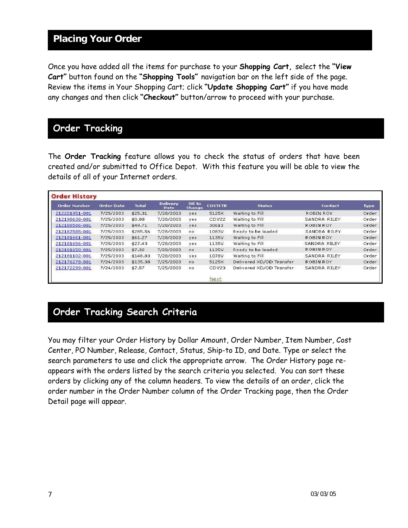## **Placing Your Order**

Once you have added all the items for purchase to your **Shopping Cart,** select the **"View Cart"** button found on the **"Shopping Tools"** navigation bar on the left side of the page. Review the items in Your Shopping Cart; click **"Update Shopping Cart"** if you have made any changes and then click **"Checkout"** button/arrow to proceed with your purchase.

#### **Order Tracking**

The **Order Tracking** feature allows you to check the status of orders that have been created and/or submitted to Office Depot. With this feature you will be able to view the details of all of your Internet orders.

| <b>Order Number</b> | <b>Order Date</b> | <b>Total</b> | <b>Delivery</b><br><b>Date</b> | OK to<br>Change | <b>COSTCTR</b> | <b>Status</b>            | Contact      | <b>Type</b> |
|---------------------|-------------------|--------------|--------------------------------|-----------------|----------------|--------------------------|--------------|-------------|
| 212201951-001       | 7/25/2003         | \$25.31      | 7/28/2003                      | yes             | 5125X          | Waiting to Fill          | ROBIN ROY    | Order       |
| 212198638-001       | 7/25/2003         | \$0.00       | 7/28/2003                      | yes             | CDV22          | Waiting to Fill          | SANDRA RILEY | Order       |
| 212188586-001       | 7/25/2003         | \$49.71      | 7/28/2003                      | yes             | 30613          | Waiting to Fill          | ROBIN ROY    | Order       |
| 212187585-001       | 7/25/2003         | \$285.56     | 7/28/2003                      | no              | 1083V          | Ready to be loaded       | SANDRA RILEY | Order       |
| 212181661-001       | 7/25/2003         | \$61.27      | 7/28/2003                      | yes             | 1135V          | Waiting to Fill          | ROBIN ROY    | Order       |
| 212181656-001       | 7/25/2003         | \$27.43      | 7/28/2003                      | yes             | 1135V          | Waiting to Fill          | SANDRA RILEY | Order       |
| 212181650-001       | 7/25/2003         | \$7,32       | 7/28/2003                      | no              | 1135V          | Ready to be loaded       | ROBIN ROY    | Order       |
| 212181102-001       | 7/25/2003         | \$148.83     | 7/28/2003                      | yes             | 1078V          | Waiting to Fill          | SANDRA RILEY | Order       |
| 212176278-001       | 7/24/2003         | \$135.38     | 7/25/2003                      | no              | 5125X          | Delivered XD/OD Transfer | ROBIN ROY    | Order       |
| 212172299-001       | 7/24/2003         | \$7.57       | 7/25/2003                      | no              | CDV23          | Delivered XD/OD Transfer | SANDRA RILEY | Order       |
|                     |                   |              |                                |                 | <b>Next</b>    |                          |              |             |

# **Order Tracking Search Criteria**

You may filter your Order History by Dollar Amount, Order Number, Item Number, Cost Center, PO Number, Release, Contact, Status, Ship-to ID, and Date. Type or select the search parameters to use and click the appropriate arrow. The Order History page reappears with the orders listed by the search criteria you selected. You can sort these orders by clicking any of the column headers. To view the details of an order, click the order number in the Order Number column of the Order Tracking page, then the Order Detail page will appear.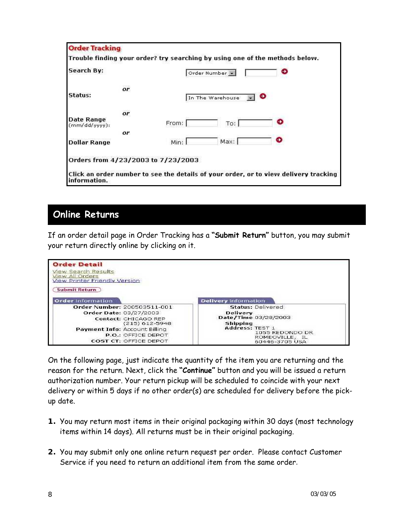| Search By:                         |        | Order Number     |                                                                                      |
|------------------------------------|--------|------------------|--------------------------------------------------------------------------------------|
| or.                                |        |                  |                                                                                      |
| Status:                            |        | In The Warehouse | ο                                                                                    |
| 043456<br>or                       |        |                  |                                                                                      |
| Date Range<br>$(mm/dd/yyyy)$ :     | From:  | To:              | 寡                                                                                    |
| or                                 |        |                  |                                                                                      |
| <b>Dollar Range</b>                | Min: I | Max:             | Ð                                                                                    |
| Orders from 4/23/2003 to 7/23/2003 |        |                  |                                                                                      |
| information.                       |        |                  | Click an order number to see the details of your order, or to view delivery tracking |

#### **Online Returns**

If an order detail page in Order Tracking has a **"Submit Return"** button, you may submit your return directly online by clicking on it.



On the following page, just indicate the quantity of the item you are returning and the reason for the return. Next, click the **"Continue"** button and you will be issued a return authorization number. Your return pickup will be scheduled to coincide with your next delivery or within 5 days if no other order(s) are scheduled for delivery before the pickup date.

- **1.** You may return most items in their original packaging within 30 days (most technology items within 14 days). All returns must be in their original packaging.
- **2.** You may submit only one online return request per order. Please contact Customer Service if you need to return an additional item from the same order.